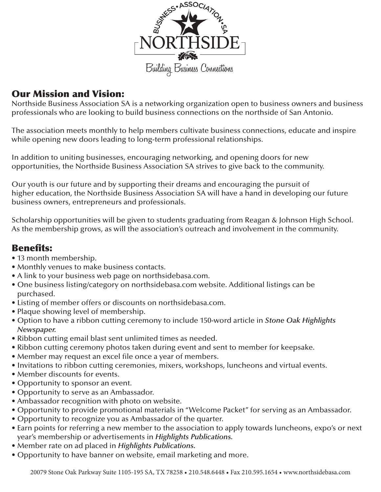

#### Our Mission and Vision:

Northside Business Association SA is a networking organization open to business owners and business professionals who are looking to build business connections on the northside of San Antonio.

The association meets monthly to help members cultivate business connections, educate and inspire while opening new doors leading to long-term professional relationships.

In addition to uniting businesses, encouraging networking, and opening doors for new opportunities, the Northside Business Association SA strives to give back to the community.

Our youth is our future and by supporting their dreams and encouraging the pursuit of higher education, the Northside Business Association SA will have a hand in developing our future business owners, entrepreneurs and professionals.

Scholarship opportunities will be given to students graduating from Reagan & Johnson High School. As the membership grows, as will the association's outreach and involvement in the community.

#### Benefits:

- 13 month membership.
- Monthly venues to make business contacts.
- A link to your business web page on northsidebasa.com.
- One business listing/category on northsidebasa.com website. Additional listings can be purchased.
- Listing of member offers or discounts on northsidebasa.com.
- Plaque showing level of membership.
- Option to have a ribbon cutting ceremony to include 150-word article in *Stone Oak Highlights Newspaper.*
- Ribbon cutting email blast sent unlimited times as needed.
- Ribbon cutting ceremony photos taken during event and sent to member for keepsake.
- Member may request an excel file once a year of members.
- Invitations to ribbon cutting ceremonies, mixers, workshops, luncheons and virtual events.
- Member discounts for events.
- Opportunity to sponsor an event.
- Opportunity to serve as an Ambassador.
- Ambassador recognition with photo on website.
- Opportunity to provide promotional materials in "Welcome Packet" for serving as an Ambassador.
- Opportunity to recognize you as Ambassador of the quarter.
- Earn points for referring a new member to the association to apply towards luncheons, expo's or next year's membership or advertisements in *Highlights Publications.*
- Member rate on ad placed in *Highlights Publications.*
- Opportunity to have banner on website, email marketing and more.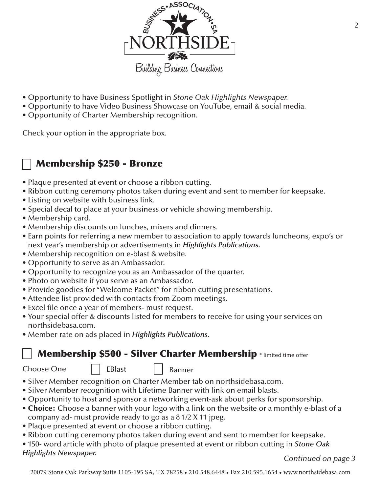

- Opportunity to have Business Spotlight in *Stone Oak Highlights Newspaper.*
- Opportunity to have Video Business Showcase on YouTube, email & social media.
- Opportunity of Charter Membership recognition.

Check your option in the appropriate box.

#### Membership \$250 - Bronze

- Plaque presented at event or choose a ribbon cutting.
- Ribbon cutting ceremony photos taken during event and sent to member for keepsake.
- Listing on website with business link.
- Special decal to place at your business or vehicle showing membership.
- Membership card.
- Membership discounts on lunches, mixers and dinners.
- Earn points for referring a new member to association to apply towards luncheons, expo's or next year's membership or advertisements in *Highlights Publications.*
- Membership recognition on e-blast & website.
- Opportunity to serve as an Ambassador.
- Opportunity to recognize you as an Ambassador of the quarter.
- Photo on website if you serve as an Ambassador.
- Provide goodies for "Welcome Packet" for ribbon cutting presentations.
- Attendee list provided with contacts from Zoom meetings.
- Excel file once a year of members- must request.
- Your special offer & discounts listed for members to receive for using your services on northsidebasa.com.
- Member rate on ads placed in *Highlights Publications.*

#### Membership \$500 - Silver Charter Membership \* limited time offer

#### Choose One  $\vert \vert$  EBlast  $\vert \vert$  Banner

- Silver Member recognition on Charter Member tab on northsidebasa.com.
- Silver Member recognition with Lifetime Banner with link on email blasts.
- Opportunity to host and sponsor a networking event-ask about perks for sponsorship.
- Choice: Choose a banner with your logo with a link on the website or a monthly e-blast of a company ad- must provide ready to go as a 8 1/2 X 11 jpeg.
- Plaque presented at event or choose a ribbon cutting.
- Ribbon cutting ceremony photos taken during event and sent to member for keepsake.
- 150- word article with photo of plaque presented at event or ribbon cutting in *Stone Oak*
- 

*Highlights Newspaper. Continued on page 3*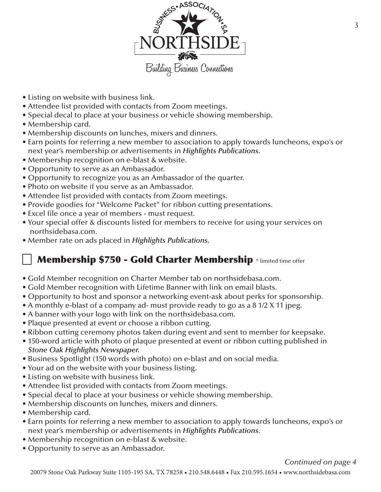

- Listing on website with business link.
- Attendee list provided with contacts from Zoom meetings.
- Special decal to place at your business or vehicle showing membership.
- Membership card.
- Membership discounts on lunches, mixers and dinners.
- Earn points for referring a new member to association to apply towards luncheons, expo's or next year's membership or advertisements in *Highlights Publications.*
- Membership recognition on e-blast & website.
- Opportunity to serve as an Ambassador.
- Opportunity to recognize you as an Ambassador of the quarter.
- Photo on website if you serve as an Ambassador.
- Attendee list provided with contacts from Zoom meetings.
- Provide goodies for "Welcome Packet" for ribbon cutting presentations.
- Excel file once a year of members must request.
- Your special offer & discounts listed for members to receive for using your services on northsidebasa.com.
- Member rate on ads placed in *Highlights Publications.*

# Membership \$750 - Gold Charter Membership \* limited time offer

- Gold Member recognition on Charter Member tab on northsidebasa.com.
- Gold Member recognition with Lifetime Banner with link on email blasts.
- Opportunity to host and sponsor a networking event-ask about perks for sponsorship.
- A monthly e-blast of a company ad- must provide ready to go as a 8 1/2 X 11 jpeg.
- A banner with your logo with link on the northsidebasa.com.
- Plaque presented at event or choose a ribbon cutting.
- Ribbon cutting ceremony photos taken during event and sent to member for keepsake.
- 150-word article with photo of plaque presented at event or ribbon cutting published in *Stone Oak Highlights Newspaper.*
- Business Spotlight (150 words with photo) on e-blast and on social media.
- Your ad on the website with your business listing.
- Listing on website with business link.
- Attendee list provided with contacts from Zoom meetings.
- Special decal to place at your business or vehicle showing membership.
- Membership discounts on lunches, mixers and dinners.
- Membership card.
- Earn points for referring a new member to association to apply towards luncheons, expo's or next year's membership or advertisements in *Highlights Publications*.
- Membership recognition on e-blast & website.
- Opportunity to serve as an Ambassador.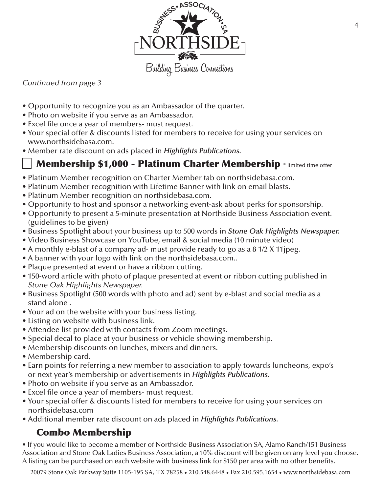

#### *Continued from page 3*

- Opportunity to recognize you as an Ambassador of the quarter.
- Photo on website if you serve as an Ambassador.
- Excel file once a year of members- must request.
- Your special offer & discounts listed for members to receive for using your services on www.northsidebasa.com.
- Member rate discount on ads placed in *Highlights Publications.*

### Membership \$1,000 - Platinum Charter Membership \* limited time offer

- Platinum Member recognition on Charter Member tab on northsidebasa.com.
- Platinum Member recognition with Lifetime Banner with link on email blasts.
- Platinum Member recognition on northsidebasa.com.
- Opportunity to host and sponsor a networking event-ask about perks for sponsorship.
- Opportunity to present a 5-minute presentation at Northside Business Association event. (guidelines to be given)
- Business Spotlight about your business up to 500 words in *Stone Oak Highlights Newspaper.*
- Video Business Showcase on YouTube, email & social media (10 minute video)
- A monthly e-blast of a company ad- must provide ready to go as a 8 1/2 X 11jpeg.
- A banner with your logo with link on the northsidebasa.com..
- Plaque presented at event or have a ribbon cutting.
- 150-word article with photo of plaque presented at event or ribbon cutting published in *Stone Oak Highlights Newspaper.*
- Business Spotlight (500 words with photo and ad) sent by e-blast and social media as a stand alone .
- Your ad on the website with your business listing.
- Listing on website with business link.
- Attendee list provided with contacts from Zoom meetings.
- Special decal to place at your business or vehicle showing membership.
- Membership discounts on lunches, mixers and dinners.
- Membership card.
- Earn points for referring a new member to association to apply towards luncheons, expo's or next year's membership or advertisements in *Highlights Publications.*
- Photo on website if you serve as an Ambassador.
- Excel file once a year of members- must request.
- Your special offer & discounts listed for members to receive for using your services on northsidebasa.com
- Additional member rate discount on ads placed in *Highlights Publications.*

## Combo Membership

• If you would like to become a member of Northside Business Association SA, Alamo Ranch/151 Business Association and Stone Oak Ladies Business Association, a 10% discount will be given on any level you choose. A listing can be purchased on each website with business link for \$150 per area with no other benefits.

20079 Stone Oak Parkway Suite 1105-195 SA, TX 78258 • 210.548.6448 • Fax 210.595.1654 • www.northsidebasa.com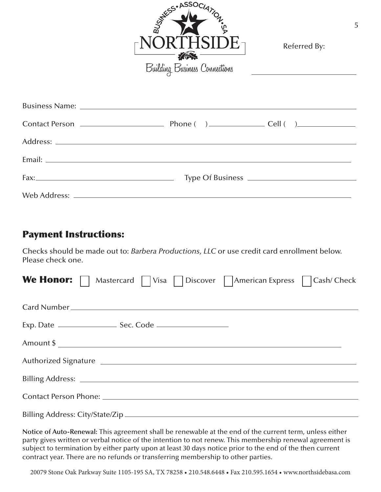

| Referred By: |  |
|--------------|--|
|--------------|--|

#### Payment Instructions:

Checks should be made out to: *Barbera Productions, LLC* or use credit card enrollment below. Please check one.

| <b>We Honor:</b> $\Box$ Mastercard $\Box$ Visa $\Box$ Discover $\Box$ American Express $\Box$ Cash/ Check     |  |
|---------------------------------------------------------------------------------------------------------------|--|
|                                                                                                               |  |
|                                                                                                               |  |
|                                                                                                               |  |
|                                                                                                               |  |
|                                                                                                               |  |
| Contact Person Phone: 2008 2009 2010 2020 2021 2021 2022 2021 2022 2021 2022 2022 2023 2024 2022 2022 2023 20 |  |
|                                                                                                               |  |

**Notice of Auto-Renewal:** This agreement shall be renewable at the end of the current term, unless either party gives written or verbal notice of the intention to not renew. This membership renewal agreement is subject to termination by either party upon at least 30 days notice prior to the end of the then current contract year. There are no refunds or transferring membership to other parties.

20079 Stone Oak Parkway Suite 1105-195 SA, TX 78258 • 210.548.6448 • Fax 210.595.1654 • www.northsidebasa.com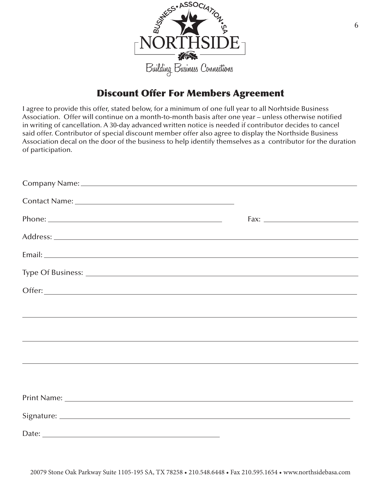

#### Discount Offer For Members Agreement

I agree to provide this offer, stated below, for a minimum of one full year to all Norhtside Business Association. Offer will continue on a month-to-month basis after one year – unless otherwise notified in writing of cancellation. A 30-day advanced written notice is needed if contributor decides to cancel said offer. Contributor of special discount member offer also agree to display the Northside Business Association decal on the door of the business to help identify themselves as a contributor for the duration of participation.

|                                                                                                                       | Fax: $\frac{1}{2}$ |  |
|-----------------------------------------------------------------------------------------------------------------------|--------------------|--|
|                                                                                                                       |                    |  |
|                                                                                                                       |                    |  |
|                                                                                                                       |                    |  |
|                                                                                                                       |                    |  |
|                                                                                                                       |                    |  |
| <u> 2000 - Andrea Andrew Maria (a chemical altres altres altres altres altres altres altres altres altres altres </u> |                    |  |
|                                                                                                                       |                    |  |
|                                                                                                                       |                    |  |
|                                                                                                                       |                    |  |
|                                                                                                                       |                    |  |
|                                                                                                                       |                    |  |
|                                                                                                                       |                    |  |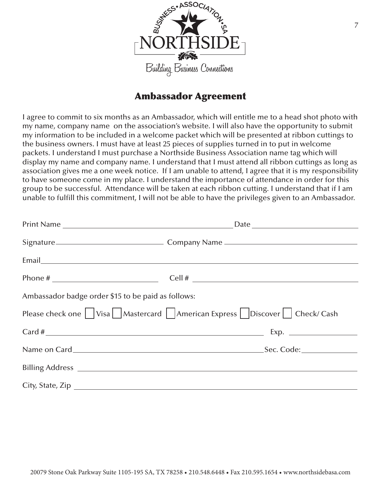

#### Ambassador Agreement

I agree to commit to six months as an Ambassador, which will entitle me to a head shot photo with my name, company name on the association's website. I will also have the opportunity to submit my information to be included in a welcome packet which will be presented at ribbon cuttings to the business owners. I must have at least 25 pieces of supplies turned in to put in welcome packets. I understand I must purchase a Northside Business Association name tag which will display my name and company name. I understand that I must attend all ribbon cuttings as long as association gives me a one week notice. If I am unable to attend, I agree that it is my responsibility to have someone come in my place. I understand the importance of attendance in order for this group to be successful. Attendance will be taken at each ribbon cutting. I understand that if I am unable to fulfill this commitment, I will not be able to have the privileges given to an Ambassador.

|                                                    | Phone # $\qquad \qquad \qquad \qquad$ Cell # $\qquad \qquad$          |
|----------------------------------------------------|-----------------------------------------------------------------------|
| Ambassador badge order \$15 to be paid as follows: |                                                                       |
|                                                    | Please check one Visa Mastercard American Express Discover Check/Cash |
|                                                    |                                                                       |
|                                                    |                                                                       |
|                                                    |                                                                       |
|                                                    | City, State, Zip                                                      |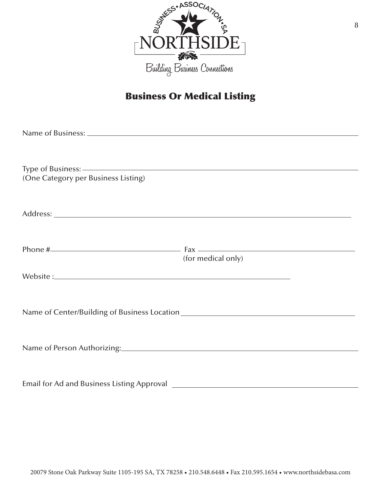

## Business Or Medical Listing

| (One Category per Business Listing)                                                                                                                                                                                            |                                                                                                                                                                                                                                                                                                                                          |
|--------------------------------------------------------------------------------------------------------------------------------------------------------------------------------------------------------------------------------|------------------------------------------------------------------------------------------------------------------------------------------------------------------------------------------------------------------------------------------------------------------------------------------------------------------------------------------|
|                                                                                                                                                                                                                                |                                                                                                                                                                                                                                                                                                                                          |
|                                                                                                                                                                                                                                |                                                                                                                                                                                                                                                                                                                                          |
|                                                                                                                                                                                                                                |                                                                                                                                                                                                                                                                                                                                          |
|                                                                                                                                                                                                                                |                                                                                                                                                                                                                                                                                                                                          |
|                                                                                                                                                                                                                                | Phone $\#$ $\qquad \qquad$ $\qquad$ $\qquad$ $\qquad$ $\qquad$ $\qquad$ $\qquad$ $\qquad$ $\qquad$ $\qquad$ $\qquad$ $\qquad$ $\qquad$ $\qquad$ $\qquad$ $\qquad$ $\qquad$ $\qquad$ $\qquad$ $\qquad$ $\qquad$ $\qquad$ $\qquad$ $\qquad$ $\qquad$ $\qquad$ $\qquad$ $\qquad$ $\qquad$ $\qquad$ $\qquad$ $\qquad$ $\qquad$ $\qquad$ $\q$ |
|                                                                                                                                                                                                                                | (for medical only)                                                                                                                                                                                                                                                                                                                       |
| Website: New York: New York: New York: New York: New York: New York: New York: New York: New York: New York: New York: New York: New York: New York: New York: New York: New York: New York: New York: New York: New York: New |                                                                                                                                                                                                                                                                                                                                          |
|                                                                                                                                                                                                                                |                                                                                                                                                                                                                                                                                                                                          |
|                                                                                                                                                                                                                                |                                                                                                                                                                                                                                                                                                                                          |
|                                                                                                                                                                                                                                |                                                                                                                                                                                                                                                                                                                                          |
|                                                                                                                                                                                                                                |                                                                                                                                                                                                                                                                                                                                          |
|                                                                                                                                                                                                                                |                                                                                                                                                                                                                                                                                                                                          |
|                                                                                                                                                                                                                                |                                                                                                                                                                                                                                                                                                                                          |
|                                                                                                                                                                                                                                |                                                                                                                                                                                                                                                                                                                                          |
|                                                                                                                                                                                                                                |                                                                                                                                                                                                                                                                                                                                          |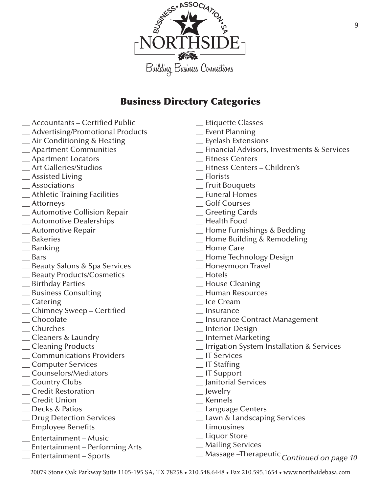

#### Business Directory Categories

- \_\_ Accountants Certified Public
- \_\_ Advertising/Promotional Products
- \_\_ Air Conditioning & Heating
- \_\_ Apartment Communities
- \_\_ Apartment Locators
- \_\_ Art Galleries/Studios
- \_\_ Assisted Living
- \_\_ Associations
- \_\_ Athletic Training Facilities
- \_\_ Attorneys
- \_\_ Automotive Collision Repair
- \_\_ Automotive Dealerships
- \_\_ Automotive Repair
- \_\_ Bakeries
- \_\_ Banking
- \_\_ Bars
- \_\_ Beauty Salons & Spa Services
- \_\_ Beauty Products/Cosmetics
- \_\_ Birthday Parties
- \_\_ Business Consulting
- \_\_ Catering
- \_\_ Chimney Sweep Certified
- \_\_ Chocolate
- \_\_ Churches
- \_\_ Cleaners & Laundry
- \_\_ Cleaning Products
- \_\_ Communications Providers
- \_\_ Computer Services
- \_\_ Counselors/Mediators
- \_\_ Country Clubs
- \_\_ Credit Restoration
- \_\_ Credit Union
- \_\_ Decks & Patios
- \_\_ Drug Detection Services
- \_\_ Employee Benefits
- \_\_ Entertainment Music
- \_\_ Entertainment Performing Arts
- \_\_ Entertainment Sports
- \_\_ Etiquette Classes
- \_\_ Event Planning
- \_\_ Eyelash Extensions
- \_\_ Financial Advisors, Investments & Services
- \_\_ Fitness Centers
- \_\_ Fitness Centers Children's
- \_\_ Florists
- \_\_ Fruit Bouquets
- \_\_ Funeral Homes
- \_\_ Golf Courses
- \_\_ Greeting Cards
- \_\_ Health Food
- \_\_ Home Furnishings & Bedding
- \_\_ Home Building & Remodeling
- \_\_ Home Care
- \_\_ Home Technology Design
- \_\_ Honeymoon Travel
- \_\_ Hotels
- \_\_ House Cleaning
- \_\_ Human Resources
- \_\_ Ice Cream
- \_\_ Insurance
- \_\_ Insurance Contract Management
- \_\_ Interior Design
- \_\_ Internet Marketing
- \_\_ Irrigation System Installation & Services
- \_\_ IT Services
- \_\_ IT Staffing
- \_\_ IT Support
- \_\_ Janitorial Services
- \_\_ Jewelry
- \_\_ Kennels
- \_\_ Language Centers
- \_ Lawn & Landscaping Services
- \_\_ Limousines
- \_\_ Liquor Store
- \_\_ Mailing Services
- \_\_ Massage –Therapeutic *Continued on page 10*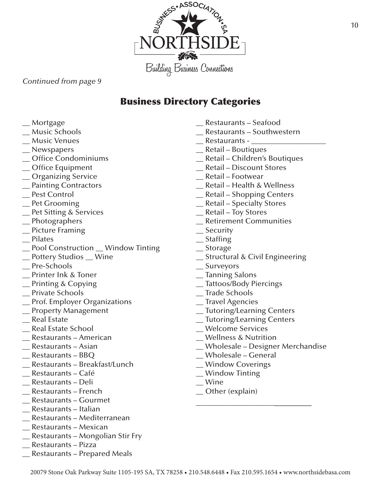

*Continued from page 9*

## Business Directory Categories

- \_\_ Mortgage
- \_\_ Music Schools
- \_\_ Music Venues
- \_\_ Newspapers
- \_\_ Office Condominiums
- \_\_ Office Equipment
- \_\_ Organizing Service
- \_\_ Painting Contractors
- \_\_ Pest Control
- \_\_ Pet Grooming
- \_\_ Pet Sitting & Services
- \_\_ Photographers
- \_\_ Picture Framing
- \_\_ Pilates
- \_\_ Pool Construction \_\_ Window Tinting
- \_\_ Pottery Studios \_\_ Wine
- \_\_ Pre-Schools
- \_\_ Printer Ink & Toner
- \_\_ Printing & Copying
- \_\_ Private Schools
- \_\_ Prof. Employer Organizations
- \_\_ Property Management
- \_\_ Real Estate
- \_\_ Real Estate School
- \_\_ Restaurants American
- \_\_ Restaurants Asian
- \_\_ Restaurants BBQ
- \_\_ Restaurants Breakfast/Lunch
- \_\_ Restaurants Café
- \_\_ Restaurants Deli
- \_\_ Restaurants French
- \_\_ Restaurants Gourmet
- \_\_ Restaurants Italian
- \_\_ Restaurants Mediterranean
- \_\_ Restaurants Mexican
- \_\_ Restaurants Mongolian Stir Fry
- \_\_ Restaurants Pizza
- \_\_ Restaurants Prepared Meals
- \_\_ Restaurants Seafood
- \_\_ Restaurants Southwestern
- $\equiv$  Restaurants -
- \_\_ Retail Boutiques
- \_\_ Retail Children's Boutiques
- \_\_ Retail Discount Stores
- \_\_ Retail Footwear
- \_\_ Retail Health & Wellness
- \_\_ Retail Shopping Centers
- \_\_ Retail Specialty Stores
- \_\_ Retail Toy Stores
- \_\_ Retirement Communities
- \_\_ Security
- \_\_ Staffing
- \_\_ Storage
- \_\_ Structural & Civil Engineering
- \_\_ Surveyors
- \_\_ Tanning Salons
- \_\_ Tattoos/Body Piercings
- \_\_ Trade Schools
- \_\_ Travel Agencies
- \_\_ Tutoring/Learning Centers
- \_\_ Tutoring/Learning Centers
- \_\_ Welcome Services
- \_\_ Wellness & Nutrition
- \_\_ Wholesale Designer Merchandise

\_\_\_\_\_\_\_\_\_\_\_\_\_\_\_\_\_\_\_\_\_\_\_\_\_\_\_\_\_

- \_\_ Wholesale General
- \_\_ Window Coverings
- \_\_ Window Tinting
- \_\_ Wine
- \_\_ Other (explain)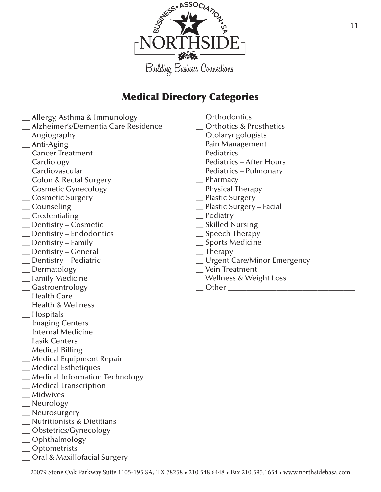

## Medical Directory Categories

- **\_**\_ Allergy, Asthma & Immunology
- \_\_ Alzheimer's/Dementia Care Residence
- $\equiv$  Angiography
- \_\_ Anti-Aging
- \_\_ Cancer Treatment
- \_\_ Cardiology
- \_\_ Cardiovascular
- \_\_ Colon & Rectal Surgery
- \_\_ Cosmetic Gynecology
- \_\_ Cosmetic Surgery
- \_\_ Counseling
- \_\_ Credentialing
- \_\_ Dentistry Cosmetic
- \_\_ Dentistry Endodontics
- \_\_ Dentistry Family
- \_\_ Dentistry General
- \_\_ Dentistry Pediatric
- \_\_ Dermatology
- \_\_ Family Medicine
- \_\_ Gastroentrology
- \_\_ Health Care
- \_\_ Health & Wellness
- \_\_ Hospitals
- \_\_ Imaging Centers
- \_\_ Internal Medicine
- \_\_ Lasik Centers
- \_\_ Medical Billing
- \_\_ Medical Equipment Repair
- \_\_ Medical Esthetiques
- \_\_ Medical Information Technology
- \_\_ Medical Transcription
- \_\_ Midwives
- \_\_ Neurology
- \_\_ Neurosurgery
- \_\_ Nutritionists & Dietitians
- \_\_ Obstetrics/Gynecology
- \_\_ Ophthalmology
- \_\_ Optometrists
- \_\_ Oral & Maxillofacial Surgery
- \_\_ Orthodontics
- \_\_ Orthotics & Prosthetics
- \_\_ Otolaryngologists
- \_\_ Pain Management
- \_\_ Pediatrics
- \_\_ Pediatrics After Hours
- \_\_ Pediatrics Pulmonary
- \_\_ Pharmacy
- \_\_ Physical Therapy
- \_\_ Plastic Surgery
- \_\_ Plastic Surgery Facial
- \_\_ Podiatry
- \_\_ Skilled Nursing
- \_\_ Speech Therapy
- \_\_ Sports Medicine
- $\equiv$ Therapy
- \_\_ Urgent Care/Minor Emergency
- \_\_ Vein Treatment
- \_\_ Wellness & Weight Loss
- $\Box$  Other  $\Box$